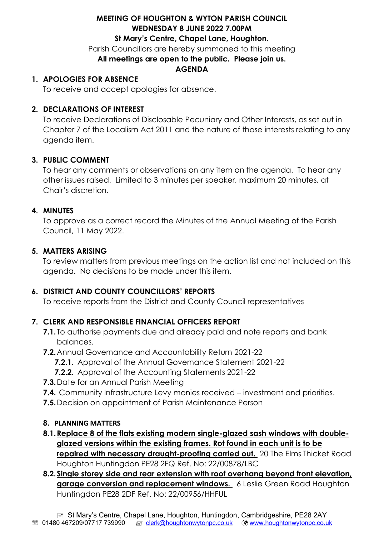### **MEETING OF HOUGHTON & WYTON PARISH COUNCIL WEDNESDAY 8 JUNE 2022 7.00PM St Mary's Centre, Chapel Lane, Houghton.**

Parish Councillors are hereby summoned to this meeting **All meetings are open to the public. Please join us.**

### **AGENDA**

### **1. APOLOGIES FOR ABSENCE**

To receive and accept apologies for absence.

### **2. DECLARATIONS OF INTEREST**

To receive Declarations of Disclosable Pecuniary and Other Interests, as set out in Chapter 7 of the Localism Act 2011 and the nature of those interests relating to any agenda item.

### **3. PUBLIC COMMENT**

To hear any comments or observations on any item on the agenda. To hear any other issues raised. Limited to 3 minutes per speaker, maximum 20 minutes, at Chair's discretion.

### **4. MINUTES**

To approve as a correct record the Minutes of the Annual Meeting of the Parish Council, 11 May 2022.

### **5. MATTERS ARISING**

To review matters from previous meetings on the action list and not included on this agenda. No decisions to be made under this item.

# **6. DISTRICT AND COUNTY COUNCILLORS' REPORTS**

To receive reports from the District and County Council representatives

# **7. CLERK AND RESPONSIBLE FINANCIAL OFFICERS REPORT**

- **7.1.** To authorise payments due and already paid and note reports and bank balances.
- **7.2.**Annual Governance and Accountability Return 2021-22
	- **7.2.1.** Approval of the Annual Governance Statement 2021-22
	- **7.2.2.** Approval of the Accounting Statements 2021-22
- **7.3.**Date for an Annual Parish Meeting
- **7.4.** Community Infrastructure Levy monies received investment and priorities.
- **7.5.**Decision on appointment of Parish Maintenance Person

### **8. PLANNING MATTERS**

- **8.1[.Replace 8 of the flats existing modern single-glazed sash windows with double](https://publicaccess.huntingdonshire.gov.uk/online-applications/applicationDetails.do?keyVal=RA8F90IKLP100&activeTab=summary)[glazed versions within the existing frames. Rot found in each unit is to be](https://publicaccess.huntingdonshire.gov.uk/online-applications/applicationDetails.do?keyVal=RA8F90IKLP100&activeTab=summary)  [repaired with necessary draught-proofing carried out.](https://publicaccess.huntingdonshire.gov.uk/online-applications/applicationDetails.do?keyVal=RA8F90IKLP100&activeTab=summary)** 20 The Elms Thicket Road Houghton Huntingdon PE28 2FQ Ref. No: 22/00878/LBC
- **8.2[.Single storey side and rear extension with roof overhang beyond front elevation,](https://publicaccess.huntingdonshire.gov.uk/online-applications/applicationDetails.do?keyVal=RAY09VIK0HJ00&activeTab=summary)**  [garage conversion and replacement windows.](https://publicaccess.huntingdonshire.gov.uk/online-applications/applicationDetails.do?keyVal=RAY09VIK0HJ00&activeTab=summary) 6 Leslie Green Road Houghton Huntingdon PE28 2DF Ref. No: 22/00956/HHFUL